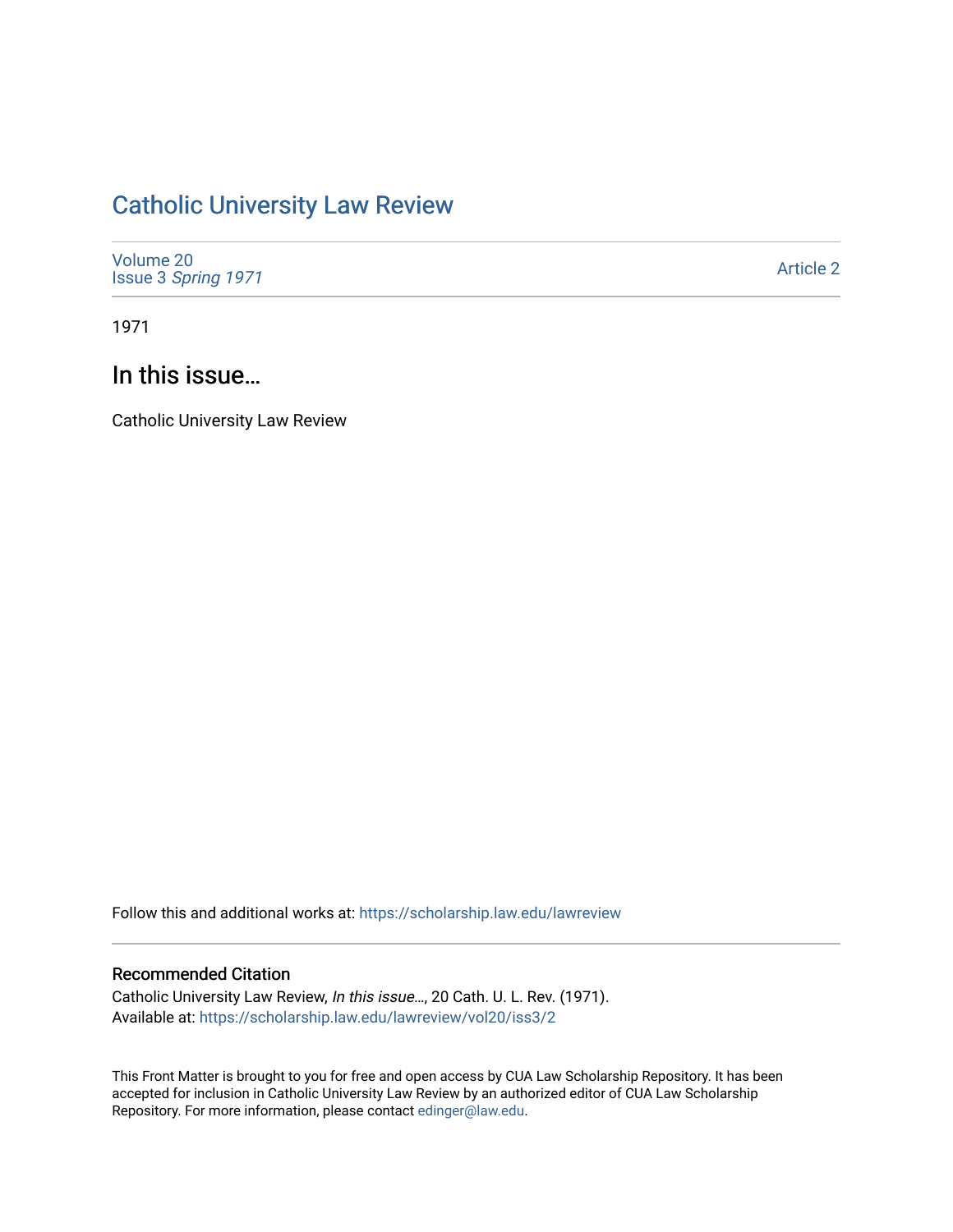## [Catholic University Law Review](https://scholarship.law.edu/lawreview)

| Volume 20<br>Issue 3 Spring 1971 | <b>Article 2</b> |
|----------------------------------|------------------|
|----------------------------------|------------------|

1971

## In this issue…

Catholic University Law Review

Follow this and additional works at: [https://scholarship.law.edu/lawreview](https://scholarship.law.edu/lawreview?utm_source=scholarship.law.edu%2Flawreview%2Fvol20%2Fiss3%2F2&utm_medium=PDF&utm_campaign=PDFCoverPages)

## Recommended Citation

Catholic University Law Review, In this issue…, 20 Cath. U. L. Rev. (1971). Available at: [https://scholarship.law.edu/lawreview/vol20/iss3/2](https://scholarship.law.edu/lawreview/vol20/iss3/2?utm_source=scholarship.law.edu%2Flawreview%2Fvol20%2Fiss3%2F2&utm_medium=PDF&utm_campaign=PDFCoverPages)

This Front Matter is brought to you for free and open access by CUA Law Scholarship Repository. It has been accepted for inclusion in Catholic University Law Review by an authorized editor of CUA Law Scholarship Repository. For more information, please contact [edinger@law.edu.](mailto:edinger@law.edu)